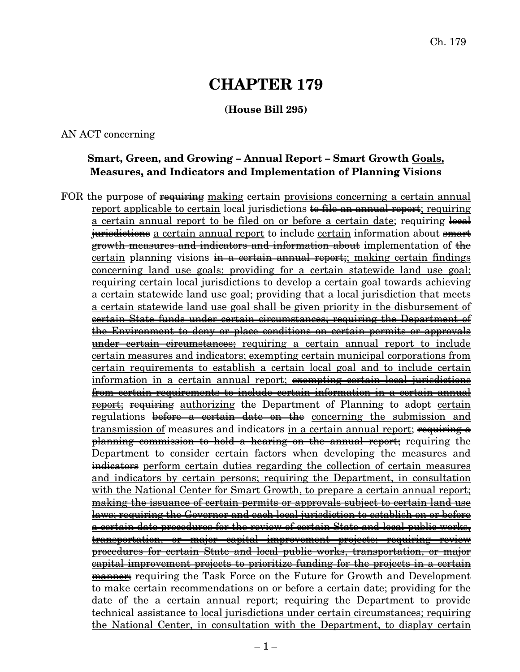# **CHAPTER 179**

#### **(House Bill 295)**

AN ACT concerning

## **Smart, Green, and Growing – Annual Report – Smart Growth Goals, Measures, and Indicators and Implementation of Planning Visions**

FOR the purpose of <del>requiring</del> making certain provisions concerning a certain annual report applicable to certain local jurisdictions to file an annual report; requiring a certain annual report to be filed on or before a certain date; requiring  $\frac{1}{2}$ iurisdictions a certain annual report to include certain information about smart growth measures and indicators and information about implementation of the certain planning visions in a certain annual report; making certain findings concerning land use goals; providing for a certain statewide land use goal; requiring certain local jurisdictions to develop a certain goal towards achieving a certain statewide land use goal; providing that a local jurisdiction that meets a certain statewide land use goal shall be given priority in the disbursement of certain State funds under certain circumstances; requiring the Department of the Environment to deny or place conditions on certain permits or approvals under certain circumstances; requiring a certain annual report to include certain measures and indicators; exempting certain municipal corporations from certain requirements to establish a certain local goal and to include certain information in a certain annual report; exempting certain local jurisdictions from certain requirements to include certain information in a certain annual **report;** requiring authorizing the Department of Planning to adopt certain regulations <del>before a certain date on the</del> concerning the submission and transmission of measures and indicators in a certain annual report; requiring a planning commission to hold a hearing on the annual report; requiring the Department to consider certain factors when developing the measures and indicators perform certain duties regarding the collection of certain measures and indicators by certain persons; requiring the Department, in consultation with the National Center for Smart Growth, to prepare a certain annual report; making the issuance of certain permits or approvals subject to certain land use laws; requiring the Governor and each local jurisdiction to establish on or before a certain date procedures for the review of certain State and local public works, transportation, or major capital improvement projects; requiring review procedures for certain State and local public works, transportation, or major capital improvement projects to prioritize funding for the projects in a certain <del>manner;</del> requiring the Task Force on the Future for Growth and Development to make certain recommendations on or before a certain date; providing for the date of the a certain annual report; requiring the Department to provide technical assistance to local jurisdictions under certain circumstances; requiring the National Center, in consultation with the Department, to display certain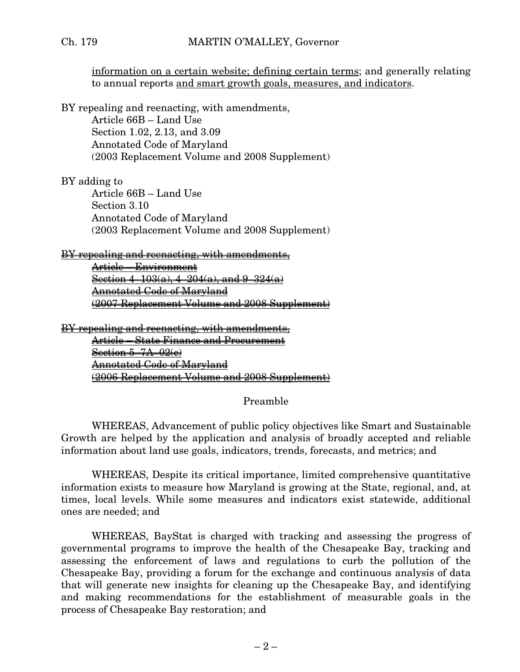information on a certain website; defining certain terms; and generally relating to annual reports and smart growth goals, measures, and indicators.

BY repealing and reenacting, with amendments, Article 66B – Land Use Section 1.02, 2.13, and 3.09 Annotated Code of Maryland (2003 Replacement Volume and 2008 Supplement)

#### BY adding to

Article 66B – Land Use Section 3.10 Annotated Code of Maryland (2003 Replacement Volume and 2008 Supplement)

#### BY repealing and reenacting, with amendments,

Article – Environment Section  $4-103(a)$ ,  $4-204(a)$ , and  $9-324(a)$ Annotated Code of Maryland (2007 Replacement Volume and 2008 Supplement)

BY repealing and reenacting, with amendments,

Article – State Finance and Procurement Section 5–7A–02(e) Annotated Code of Maryland (2006 Replacement Volume and 2008 Supplement)

#### Preamble

WHEREAS, Advancement of public policy objectives like Smart and Sustainable Growth are helped by the application and analysis of broadly accepted and reliable information about land use goals, indicators, trends, forecasts, and metrics; and

WHEREAS, Despite its critical importance, limited comprehensive quantitative information exists to measure how Maryland is growing at the State, regional, and, at times, local levels. While some measures and indicators exist statewide, additional ones are needed; and

WHEREAS, BayStat is charged with tracking and assessing the progress of governmental programs to improve the health of the Chesapeake Bay, tracking and assessing the enforcement of laws and regulations to curb the pollution of the Chesapeake Bay, providing a forum for the exchange and continuous analysis of data that will generate new insights for cleaning up the Chesapeake Bay, and identifying and making recommendations for the establishment of measurable goals in the process of Chesapeake Bay restoration; and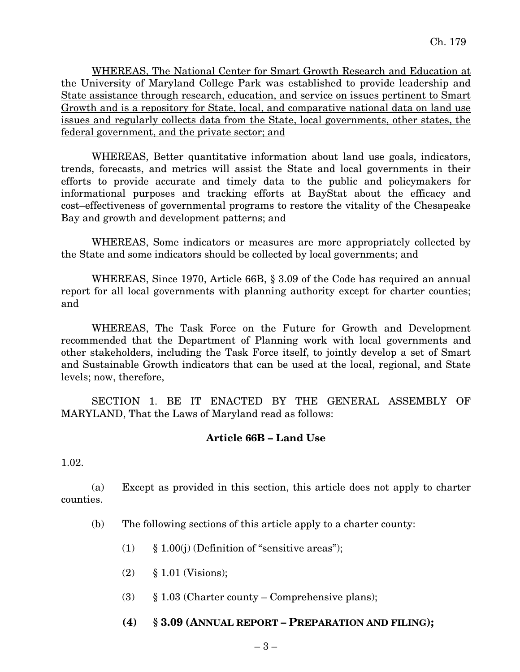WHEREAS, The National Center for Smart Growth Research and Education at the University of Maryland College Park was established to provide leadership and State assistance through research, education, and service on issues pertinent to Smart Growth and is a repository for State, local, and comparative national data on land use issues and regularly collects data from the State, local governments, other states, the federal government, and the private sector; and

WHEREAS, Better quantitative information about land use goals, indicators, trends, forecasts, and metrics will assist the State and local governments in their efforts to provide accurate and timely data to the public and policymakers for informational purposes and tracking efforts at BayStat about the efficacy and cost–effectiveness of governmental programs to restore the vitality of the Chesapeake Bay and growth and development patterns; and

WHEREAS, Some indicators or measures are more appropriately collected by the State and some indicators should be collected by local governments; and

WHEREAS, Since 1970, Article 66B, § 3.09 of the Code has required an annual report for all local governments with planning authority except for charter counties; and

WHEREAS, The Task Force on the Future for Growth and Development recommended that the Department of Planning work with local governments and other stakeholders, including the Task Force itself, to jointly develop a set of Smart and Sustainable Growth indicators that can be used at the local, regional, and State levels; now, therefore,

SECTION 1. BE IT ENACTED BY THE GENERAL ASSEMBLY OF MARYLAND, That the Laws of Maryland read as follows:

#### **Article 66B – Land Use**

1.02.

(a) Except as provided in this section, this article does not apply to charter counties.

- (b) The following sections of this article apply to a charter county:
	- (1)  $\S 1.00(i)$  (Definition of "sensitive areas");
	- (2) § 1.01 (Visions);
	- (3)  $§ 1.03$  (Charter county Comprehensive plans);
	- **(4) § 3.09 (ANNUAL REPORT – PREPARATION AND FILING);**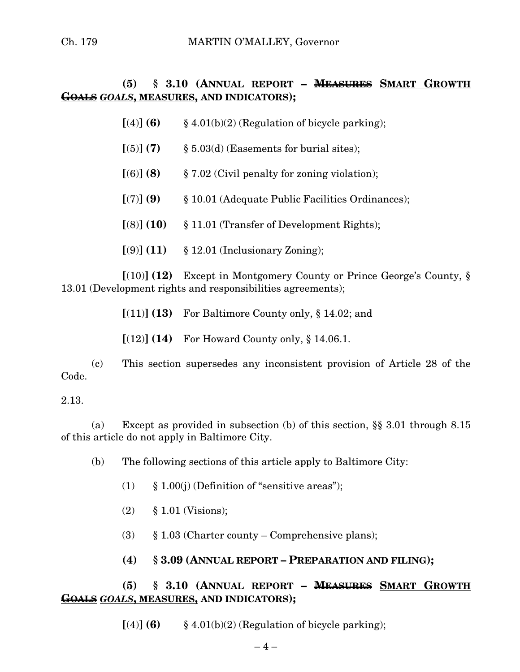## **(5) § 3.10 (ANNUAL REPORT – MEASURES SMART GROWTH GOALS** *GOALS***, MEASURES, AND INDICATORS);**

- $[(4)]$  **(6)** § 4.01(b)(2) (Regulation of bicycle parking);
- $[(5)] (7)$  § 5.03(d) (Easements for burial sites);
- **[**(6)**] (8)** § 7.02 (Civil penalty for zoning violation);
- **[**(7)**] (9)** § 10.01 (Adequate Public Facilities Ordinances);
- **[**(8)**] (10)** § 11.01 (Transfer of Development Rights);
- **[**(9)**] (11)** § 12.01 (Inclusionary Zoning);

**[**(10)**] (12)** Except in Montgomery County or Prince George's County, § 13.01 (Development rights and responsibilities agreements);

**[**(11)**] (13)** For Baltimore County only, § 14.02; and

**[**(12)**] (14)** For Howard County only, § 14.06.1.

(c) This section supersedes any inconsistent provision of Article 28 of the Code.

#### 2.13.

(a) Except as provided in subsection (b) of this section, §§ 3.01 through 8.15 of this article do not apply in Baltimore City.

(b) The following sections of this article apply to Baltimore City:

- (1)  $\&$  1.00(i) (Definition of "sensitive areas");
- (2) § 1.01 (Visions);
- (3)  $\S$  1.03 (Charter county Comprehensive plans);
- **(4) § 3.09 (ANNUAL REPORT – PREPARATION AND FILING);**

## **(5) § 3.10 (ANNUAL REPORT – MEASURES SMART GROWTH GOALS** *GOALS***, MEASURES, AND INDICATORS);**

 $[(4)]$  **(6)** § 4.01(b)(2) (Regulation of bicycle parking);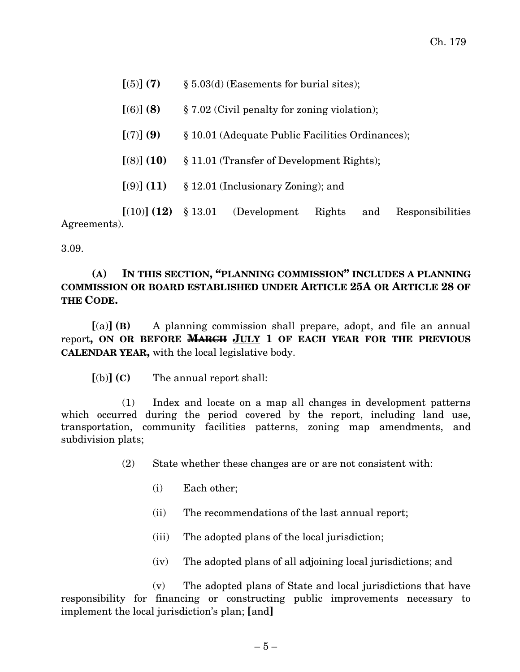| Agreements). |                                 |                                                                       |                                            |        |     |                  |
|--------------|---------------------------------|-----------------------------------------------------------------------|--------------------------------------------|--------|-----|------------------|
|              |                                 |                                                                       | $[(10)] (12) \; \S 13.01$ (Development)    | Rights | and | Responsibilities |
|              |                                 | $[ (9) ]$ $(11)$ § 12.01 (Inclusionary Zoning); and                   |                                            |        |     |                  |
|              |                                 | $[(8)] (10) \quad \text{\$ } 11.01$ (Transfer of Development Rights); |                                            |        |     |                  |
|              | $[(7)]$ (9)                     | § 10.01 (Adequate Public Facilities Ordinances);                      |                                            |        |     |                  |
|              | [(6)] (8)                       | $\S 7.02$ (Civil penalty for zoning violation);                       |                                            |        |     |                  |
|              | $\left[ \text{(5)} \right]$ (7) |                                                                       | $\S 5.03(d)$ (Easements for burial sites); |        |     |                  |

3.09.

#### **(A) IN THIS SECTION, "PLANNING COMMISSION" INCLUDES A PLANNING COMMISSION OR BOARD ESTABLISHED UNDER ARTICLE 25A OR ARTICLE 28 OF THE CODE.**

**[**(a)**] (B)** A planning commission shall prepare, adopt, and file an annual report**, ON OR BEFORE MARCH JULY 1 OF EACH YEAR FOR THE PREVIOUS CALENDAR YEAR,** with the local legislative body.

**[**(b)**] (C)** The annual report shall:

(1) Index and locate on a map all changes in development patterns which occurred during the period covered by the report, including land use, transportation, community facilities patterns, zoning map amendments, and subdivision plats;

- (2) State whether these changes are or are not consistent with:
	- (i) Each other;
	- (ii) The recommendations of the last annual report;
	- (iii) The adopted plans of the local jurisdiction;
	- (iv) The adopted plans of all adjoining local jurisdictions; and

(v) The adopted plans of State and local jurisdictions that have responsibility for financing or constructing public improvements necessary to implement the local jurisdiction's plan; **[**and**]**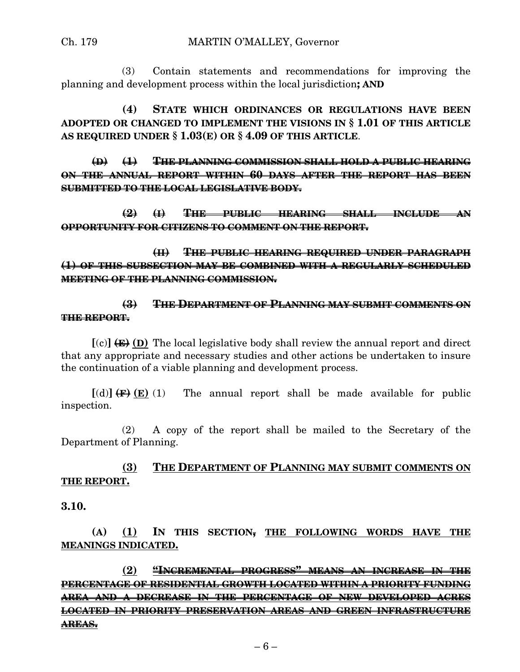(3) Contain statements and recommendations for improving the planning and development process within the local jurisdiction**; AND**

**(4) STATE WHICH ORDINANCES OR REGULATIONS HAVE BEEN ADOPTED OR CHANGED TO IMPLEMENT THE VISIONS IN § 1.01 OF THIS ARTICLE AS REQUIRED UNDER § 1.03(E) OR § 4.09 OF THIS ARTICLE**.

**(D) (1) THE PLANNING COMMISSION SHALL HOLD A PUBLIC HEARING ON THE ANNUAL REPORT WITHIN 60 DAYS AFTER THE REPORT HAS BEEN SUBMITTED TO THE LOCAL LEGISLATIVE BODY.**

**(2) (I) THE PUBLIC HEARING SHALL INCLUDE AN OPPORTUNITY FOR CITIZENS TO COMMENT ON THE REPORT.**

**(II) THE PUBLIC HEARING REQUIRED UNDER PARAGRAPH (1) OF THIS SUBSECTION MAY BE COMBINED WITH A REGULARLY SCHEDULED MEETING OF THE PLANNING COMMISSION.**

#### **(3) THE DEPARTMENT OF PLANNING MAY SUBMIT COMMENTS ON THE REPORT.**

 $[(c)] \leftarrow (E)$  **(D)** The local legislative body shall review the annual report and direct that any appropriate and necessary studies and other actions be undertaken to insure the continuation of a viable planning and development process.

 $[(d)] \leftarrow (E) (1)$  The annual report shall be made available for public inspection.

(2) A copy of the report shall be mailed to the Secretary of the Department of Planning.

## **(3) THE DEPARTMENT OF PLANNING MAY SUBMIT COMMENTS ON THE REPORT.**

**3.10.**

**(A) (1) IN THIS SECTION, THE FOLLOWING WORDS HAVE THE MEANINGS INDICATED.**

**(2) "INCREMENTAL PROGRESS" MEANS AN INCREASE IN THE PERCENTAGE OF RESIDENTIAL GROWTH LOCATED WITHIN A PRIORITY FUNDING AREA AND A DECREASE IN THE PERCENTAGE OF NEW DEVELOPED ACRES LOCATED IN PRIORITY PRESERVATION AREAS AND GREEN INFRASTRUCTURE AREAS.**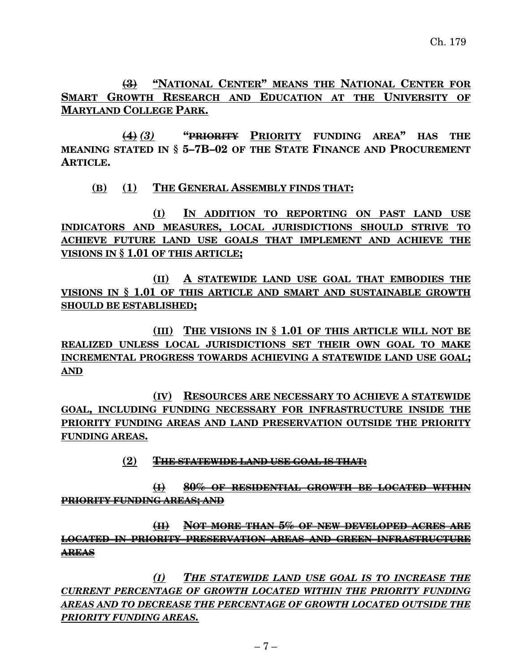**(3) "NATIONAL CENTER" MEANS THE NATIONAL CENTER FOR SMART GROWTH RESEARCH AND EDUCATION AT THE UNIVERSITY OF MARYLAND COLLEGE PARK.**

**(4)** *(3)* **"PRIORITY PRIORITY FUNDING AREA" HAS THE MEANING STATED IN § 5–7B–02 OF THE STATE FINANCE AND PROCUREMENT ARTICLE.**

## **(B) (1) THE GENERAL ASSEMBLY FINDS THAT:**

**(I) IN ADDITION TO REPORTING ON PAST LAND USE INDICATORS AND MEASURES, LOCAL JURISDICTIONS SHOULD STRIVE TO ACHIEVE FUTURE LAND USE GOALS THAT IMPLEMENT AND ACHIEVE THE VISIONS IN § 1.01 OF THIS ARTICLE;**

**(II) A STATEWIDE LAND USE GOAL THAT EMBODIES THE VISIONS IN § 1.01 OF THIS ARTICLE AND SMART AND SUSTAINABLE GROWTH SHOULD BE ESTABLISHED;**

**(III) THE VISIONS IN § 1.01 OF THIS ARTICLE WILL NOT BE REALIZED UNLESS LOCAL JURISDICTIONS SET THEIR OWN GOAL TO MAKE INCREMENTAL PROGRESS TOWARDS ACHIEVING A STATEWIDE LAND USE GOAL; AND**

**(IV) RESOURCES ARE NECESSARY TO ACHIEVE A STATEWIDE GOAL, INCLUDING FUNDING NECESSARY FOR INFRASTRUCTURE INSIDE THE PRIORITY FUNDING AREAS AND LAND PRESERVATION OUTSIDE THE PRIORITY FUNDING AREAS.**

## **(2) THE STATEWIDE LAND USE GOAL IS THAT:**

**(I) 80% OF RESIDENTIAL GROWTH BE LOCATED WITHIN PRIORITY FUNDING AREAS; AND**

**(II) NOT MORE THAN 5% OF NEW DEVELOPED ACRES ARE LOCATED IN PRIORITY PRESERVATION AREAS AND GREEN INFRASTRUCTURE AREAS**

*(I) THE STATEWIDE LAND USE GOAL IS TO INCREASE THE CURRENT PERCENTAGE OF GROWTH LOCATED WITHIN THE PRIORITY FUNDING AREAS AND TO DECREASE THE PERCENTAGE OF GROWTH LOCATED OUTSIDE THE PRIORITY FUNDING AREAS.*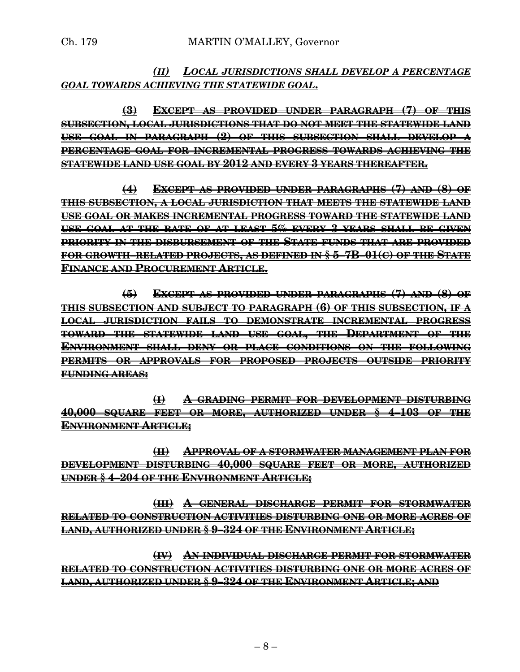## *(II) LOCAL JURISDICTIONS SHALL DEVELOP A PERCENTAGE GOAL TOWARDS ACHIEVING THE STATEWIDE GOAL***.**

**(3) EXCEPT AS PROVIDED UNDER PARAGRAPH (7) OF THIS SUBSECTION, LOCAL JURISDICTIONS THAT DO NOT MEET THE STATEWIDE LAND USE GOAL IN PARAGRAPH (2) OF THIS SUBSECTION SHALL DEVELOP A PERCENTAGE GOAL FOR INCREMENTAL PROGRESS TOWARDS ACHIEVING THE STATEWIDE LAND USE GOAL BY 2012 AND EVERY 3 YEARS THEREAFTER.**

**(4) EXCEPT AS PROVIDED UNDER PARAGRAPHS (7) AND (8) OF THIS SUBSECTION, A LOCAL JURISDICTION THAT MEETS THE STATEWIDE LAND USE GOAL OR MAKES INCREMENTAL PROGRESS TOWARD THE STATEWIDE LAND USE GOAL AT THE RATE OF AT LEAST 5% EVERY 3 YEARS SHALL BE GIVEN PRIORITY IN THE DISBURSEMENT OF THE STATE FUNDS THAT ARE PROVIDED FOR GROWTH–RELATED PROJECTS, AS DEFINED IN § 5–7B–01(C) OF THE STATE FINANCE AND PROCUREMENT ARTICLE.**

**(5) EXCEPT AS PROVIDED UNDER PARAGRAPHS (7) AND (8) OF THIS SUBSECTION AND SUBJECT TO PARAGRAPH (6) OF THIS SUBSECTION, IF A LOCAL JURISDICTION FAILS TO DEMONSTRATE INCREMENTAL PROGRESS TOWARD THE STATEWIDE LAND USE GOAL, THE DEPARTMENT OF THE ENVIRONMENT SHALL DENY OR PLACE CONDITIONS ON THE FOLLOWING PERMITS OR APPROVALS FOR PROPOSED PROJECTS OUTSIDE PRIORITY FUNDING AREAS:**

**(I) A GRADING PERMIT FOR DEVELOPMENT DISTURBING 40,000 SQUARE FEET OR MORE, AUTHORIZED UNDER § 4–103 OF THE ENVIRONMENT ARTICLE;**

**(II) APPROVAL OF A STORMWATER MANAGEMENT PLAN FOR DEVELOPMENT DISTURBING 40,000 SQUARE FEET OR MORE, AUTHORIZED UNDER § 4–204 OF THE ENVIRONMENT ARTICLE;**

**(III) A GENERAL DISCHARGE PERMIT FOR STORMWATER RELATED TO CONSTRUCTION ACTIVITIES DISTURBING ONE OR MORE ACRES OF LAND, AUTHORIZED UNDER § 9–324 OF THE ENVIRONMENT ARTICLE;**

**(IV) AN INDIVIDUAL DISCHARGE PERMIT FOR STORMWATER RELATED TO CONSTRUCTION ACTIVITIES DISTURBING ONE OR MORE ACRES OF LAND, AUTHORIZED UNDER § 9–324 OF THE ENVIRONMENT ARTICLE; AND**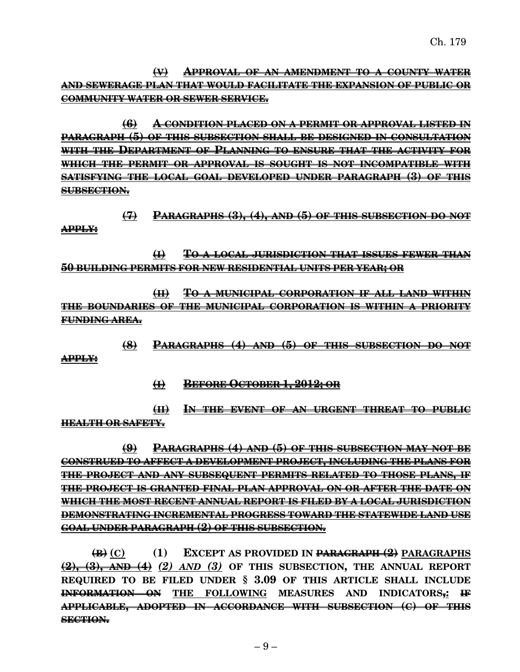**(V) APPROVAL OF AN AMENDMENT TO A COUNTY WATER AND SEWERAGE PLAN THAT WOULD FACILITATE THE EXPANSION OF PUBLIC OR COMMUNITY WATER OR SEWER SERVICE.**

**(6) A CONDITION PLACED ON A PERMIT OR APPROVAL LISTED IN PARAGRAPH (5) OF THIS SUBSECTION SHALL BE DESIGNED IN CONSULTATION WITH THE DEPARTMENT OF PLANNING TO ENSURE THAT THE ACTIVITY FOR WHICH THE PERMIT OR APPROVAL IS SOUGHT IS NOT INCOMPATIBLE WITH SATISFYING THE LOCAL GOAL DEVELOPED UNDER PARAGRAPH (3) OF THIS SUBSECTION.**

**(7) PARAGRAPHS (3), (4), AND (5) OF THIS SUBSECTION DO NOT APPLY:**

**(I) TO A LOCAL JURISDICTION THAT ISSUES FEWER THAN 50 BUILDING PERMITS FOR NEW RESIDENTIAL UNITS PER YEAR; OR**

**(II) TO A MUNICIPAL CORPORATION IF ALL LAND WITHIN THE BOUNDARIES OF THE MUNICIPAL CORPORATION IS WITHIN A PRIORITY FUNDING AREA.**

**(8) PARAGRAPHS (4) AND (5) OF THIS SUBSECTION DO NOT**

**(I) BEFORE OCTOBER 1, 2012; OR**

**APPLY:**

**(II) IN THE EVENT OF AN URGENT THREAT TO PUBLIC HEALTH OR SAFETY.**

**(9) PARAGRAPHS (4) AND (5) OF THIS SUBSECTION MAY NOT BE CONSTRUED TO AFFECT A DEVELOPMENT PROJECT, INCLUDING THE PLANS FOR THE PROJECT AND ANY SUBSEQUENT PERMITS RELATED TO THOSE PLANS, IF THE PROJECT IS GRANTED FINAL PLAN APPROVAL ON OR AFTER THE DATE ON WHICH THE MOST RECENT ANNUAL REPORT IS FILED BY A LOCAL JURISDICTION DEMONSTRATING INCREMENTAL PROGRESS TOWARD THE STATEWIDE LAND USE GOAL UNDER PARAGRAPH (2) OF THIS SUBSECTION.**

**(B) (C) (1) EXCEPT AS PROVIDED IN PARAGRAPH (2) PARAGRAPHS (2), (3), AND (4)** *(2) AND (3)* **OF THIS SUBSECTION, THE ANNUAL REPORT REQUIRED TO BE FILED UNDER § 3.09 OF THIS ARTICLE SHALL INCLUDE INFORMATION ON THE FOLLOWING MEASURES AND INDICATORS,: IF APPLICABLE, ADOPTED IN ACCORDANCE WITH SUBSECTION (C) OF THIS SECTION.**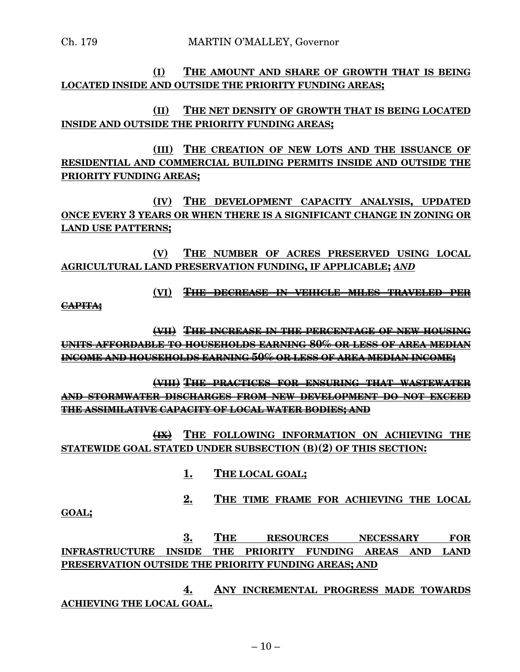## **(I) THE AMOUNT AND SHARE OF GROWTH THAT IS BEING LOCATED INSIDE AND OUTSIDE THE PRIORITY FUNDING AREAS;**

**(II) THE NET DENSITY OF GROWTH THAT IS BEING LOCATED INSIDE AND OUTSIDE THE PRIORITY FUNDING AREAS;**

**(III) THE CREATION OF NEW LOTS AND THE ISSUANCE OF RESIDENTIAL AND COMMERCIAL BUILDING PERMITS INSIDE AND OUTSIDE THE PRIORITY FUNDING AREAS;**

**(IV) THE DEVELOPMENT CAPACITY ANALYSIS, UPDATED ONCE EVERY 3 YEARS OR WHEN THERE IS A SIGNIFICANT CHANGE IN ZONING OR LAND USE PATTERNS;**

**(V) THE NUMBER OF ACRES PRESERVED USING LOCAL AGRICULTURAL LAND PRESERVATION FUNDING, IF APPLICABLE;** *AND*

**(VI) THE DECREASE IN VEHICLE MILES TRAVELED PER**

**CAPITA;**

**(VII) THE INCREASE IN THE PERCENTAGE OF NEW HOUSING UNITS AFFORDABLE TO HOUSEHOLDS EARNING 80% OR LESS OF AREA MEDIAN INCOME AND HOUSEHOLDS EARNING 50% OR LESS OF AREA MEDIAN INCOME;**

**(VIII) THE PRACTICES FOR ENSURING THAT WASTEWATER AND STORMWATER DISCHARGES FROM NEW DEVELOPMENT DO NOT EXCEED THE ASSIMILATIVE CAPACITY OF LOCAL WATER BODIES; AND**

**(IX) THE FOLLOWING INFORMATION ON ACHIEVING THE STATEWIDE GOAL STATED UNDER SUBSECTION (B)(2) OF THIS SECTION:**

- **1. THE LOCAL GOAL;**
- **2. THE TIME FRAME FOR ACHIEVING THE LOCAL**

**GOAL;**

**3. THE RESOURCES NECESSARY FOR INFRASTRUCTURE INSIDE THE PRIORITY FUNDING AREAS AND LAND PRESERVATION OUTSIDE THE PRIORITY FUNDING AREAS; AND**

**4. ANY INCREMENTAL PROGRESS MADE TOWARDS ACHIEVING THE LOCAL GOAL.**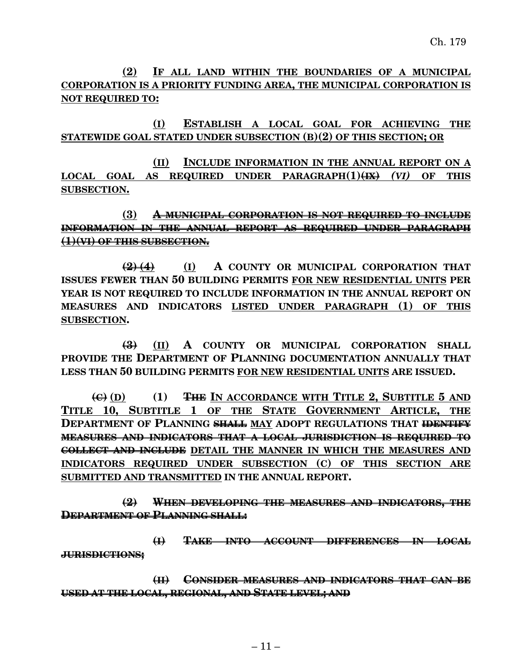**(2) IF ALL LAND WITHIN THE BOUNDARIES OF A MUNICIPAL CORPORATION IS A PRIORITY FUNDING AREA, THE MUNICIPAL CORPORATION IS NOT REQUIRED TO:**

**(I) ESTABLISH A LOCAL GOAL FOR ACHIEVING THE STATEWIDE GOAL STATED UNDER SUBSECTION (B)(2) OF THIS SECTION; OR**

**(II) INCLUDE INFORMATION IN THE ANNUAL REPORT ON A LOCAL GOAL AS REQUIRED UNDER PARAGRAPH(1)(IX)** *(VI)* **OF THIS SUBSECTION.**

**(3) A MUNICIPAL CORPORATION IS NOT REQUIRED TO INCLUDE INFORMATION IN THE ANNUAL REPORT AS REQUIRED UNDER PARAGRAPH (1)(VI) OF THIS SUBSECTION.**

**(2) (4) (I) A COUNTY OR MUNICIPAL CORPORATION THAT ISSUES FEWER THAN 50 BUILDING PERMITS FOR NEW RESIDENTIAL UNITS PER YEAR IS NOT REQUIRED TO INCLUDE INFORMATION IN THE ANNUAL REPORT ON MEASURES AND INDICATORS LISTED UNDER PARAGRAPH (1) OF THIS SUBSECTION.**

**(3) (II) A COUNTY OR MUNICIPAL CORPORATION SHALL PROVIDE THE DEPARTMENT OF PLANNING DOCUMENTATION ANNUALLY THAT LESS THAN 50 BUILDING PERMITS FOR NEW RESIDENTIAL UNITS ARE ISSUED.**

**(C) (D) (1) THE IN ACCORDANCE WITH TITLE 2, SUBTITLE 5 AND TITLE 10, SUBTITLE 1 OF THE STATE GOVERNMENT ARTICLE, THE DEPARTMENT OF PLANNING SHALL MAY ADOPT REGULATIONS THAT IDENTIFY MEASURES AND INDICATORS THAT A LOCAL JURISDICTION IS REQUIRED TO COLLECT AND INCLUDE DETAIL THE MANNER IN WHICH THE MEASURES AND INDICATORS REQUIRED UNDER SUBSECTION (C) OF THIS SECTION ARE SUBMITTED AND TRANSMITTED IN THE ANNUAL REPORT.**

**(2) WHEN DEVELOPING THE MEASURES AND INDICATORS, THE DEPARTMENT OF PLANNING SHALL:**

**(I) TAKE INTO ACCOUNT DIFFERENCES IN LOCAL JURISDICTIONS;**

**(II) CONSIDER MEASURES AND INDICATORS THAT CAN BE USED AT THE LOCAL, REGIONAL, AND STATE LEVEL; AND**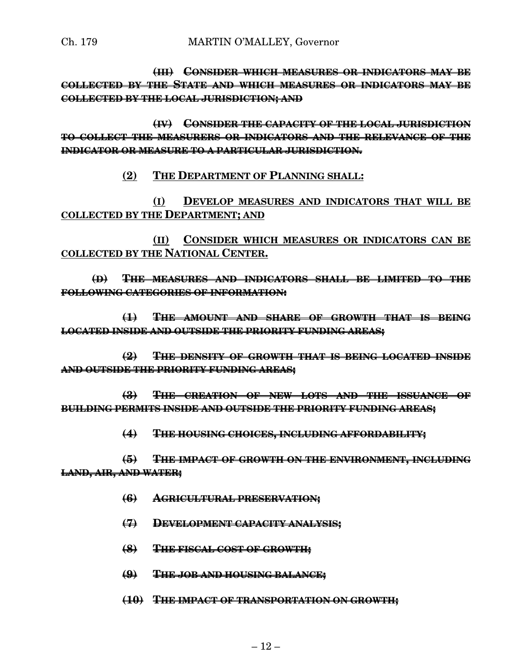**(III) CONSIDER WHICH MEASURES OR INDICATORS MAY BE COLLECTED BY THE STATE AND WHICH MEASURES OR INDICATORS MAY BE COLLECTED BY THE LOCAL JURISDICTION; AND**

**(IV) CONSIDER THE CAPACITY OF THE LOCAL JURISDICTION TO COLLECT THE MEASURERS OR INDICATORS AND THE RELEVANCE OF THE INDICATOR OR MEASURE TO A PARTICULAR JURISDICTION.**

**(2) THE DEPARTMENT OF PLANNING SHALL:**

**(I) DEVELOP MEASURES AND INDICATORS THAT WILL BE COLLECTED BY THE DEPARTMENT; AND**

**(II) CONSIDER WHICH MEASURES OR INDICATORS CAN BE COLLECTED BY THE NATIONAL CENTER.**

**(D) THE MEASURES AND INDICATORS SHALL BE LIMITED TO THE FOLLOWING CATEGORIES OF INFORMATION:**

**(1) THE AMOUNT AND SHARE OF GROWTH THAT IS BEING LOCATED INSIDE AND OUTSIDE THE PRIORITY FUNDING AREAS;**

**(2) THE DENSITY OF GROWTH THAT IS BEING LOCATED INSIDE AND OUTSIDE THE PRIORITY FUNDING AREAS;**

**(3) THE CREATION OF NEW LOTS AND THE ISSUANCE OF BUILDING PERMITS INSIDE AND OUTSIDE THE PRIORITY FUNDING AREAS;**

**(4) THE HOUSING CHOICES, INCLUDING AFFORDABILITY;**

**(5) THE IMPACT OF GROWTH ON THE ENVIRONMENT, INCLUDING LAND, AIR, AND WATER;**

- **(6) AGRICULTURAL PRESERVATION;**
- **(7) DEVELOPMENT CAPACITY ANALYSIS;**
- **(8) THE FISCAL COST OF GROWTH;**
- **(9) THE JOB AND HOUSING BALANCE;**
- **(10) THE IMPACT OF TRANSPORTATION ON GROWTH;**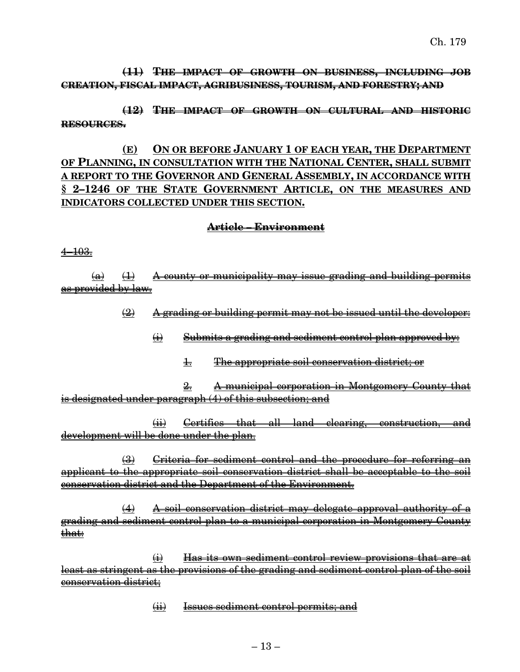## **(11) THE IMPACT OF GROWTH ON BUSINESS, INCLUDING JOB CREATION, FISCAL IMPACT, AGRIBUSINESS, TOURISM, AND FORESTRY; AND**

**(12) THE IMPACT OF GROWTH ON CULTURAL AND HISTORIC RESOURCES.**

**(E) ON OR BEFORE JANUARY 1 OF EACH YEAR, THE DEPARTMENT OF PLANNING, IN CONSULTATION WITH THE NATIONAL CENTER, SHALL SUBMIT A REPORT TO THE GOVERNOR AND GENERAL ASSEMBLY, IN ACCORDANCE WITH § 2–1246 OF THE STATE GOVERNMENT ARTICLE, ON THE MEASURES AND INDICATORS COLLECTED UNDER THIS SECTION.**

#### **Article – Environment**

4–103.

 $(a)$   $(1)$  A county or municipality may issue grading and building permits as provided by law.

 $\left( 2\right)$  A grading or building permit may not be issued until the developer:

 $\leftrightarrow$  Submits a grading and sediment control plan approved by:

1. The appropriate soil conservation district; or

2. A municipal corporation in Montgomery County that is designated under paragraph (4) of this subsection; and

(ii) Certifies that all land clearing, construction, and development will be done under the plan.

(3) Criteria for sediment control and the procedure for referring an applicant to the appropriate soil conservation district shall be acceptable to the soil conservation district and the Department of the Environment.

(4) A soil conservation district may delegate approval authority of a grading and sediment control plan to a municipal corporation in Montgomery County that:

(i) Has its own sediment control review provisions that are at least as stringent as the provisions of the grading and sediment control plan of the soil conservation district;

(ii) Issues sediment control permits; and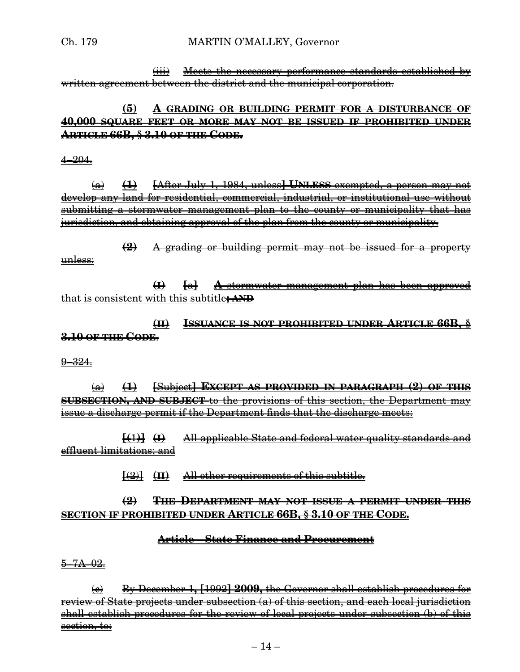(iii) Meets the necessary performance standards established by written agreement between the district and the municipal corporation.

## **(5) A GRADING OR BUILDING PERMIT FOR A DISTURBANCE OF 40,000 SQUARE FEET OR MORE MAY NOT BE ISSUED IF PROHIBITED UNDER ARTICLE 66B, § 3.10 OF THE CODE.**

#### 4–204.

(a) **(1) [**After July 1, 1984, unless**] UNLESS** exempted, a person may not develop any land for residential, commercial, industrial, or institutional use without submitting a stormwater management plan to the county or municipality that has jurisdiction, and obtaining approval of the plan from the county or municipality.

**(2)** A grading or building permit may not be issued for a property unless:

**(I) [**a**] A** stormwater management plan has been approved that is consistent with this subtitle**; AND**

**(II) ISSUANCE IS NOT PROHIBITED UNDER ARTICLE 66B, § 3.10 OF THE CODE**.

 $-324.$ 

(a) **(1) [**Subject**] EXCEPT AS PROVIDED IN PARAGRAPH (2) OF THIS SUBSECTION, AND SUBJECT** to the provisions of this section, the Department may issue a discharge permit if the Department finds that the discharge meets:

**[(**1**)] (I)** All applicable State and federal water quality standards and effluent limitations; and

**[**(2)**] (II)** All other requirements of this subtitle.

## **(2) THE DEPARTMENT MAY NOT ISSUE A PERMIT UNDER THIS SECTION IF PROHIBITED UNDER ARTICLE 66B, § 3.10 OF THE CODE.**

## **Article – State Finance and Procurement**

<del>5–7A–02.</del>

(c) By December 1**, [**1992**] 2009,** the Governor shall establish procedures for review of State projects under subsection (a) of this section, and each local jurisdiction shall establish procedures for the review of local projects under subsection (b) of this section, to: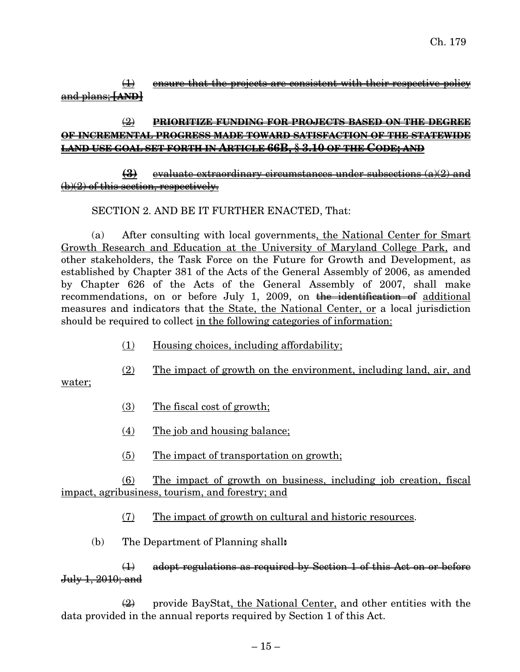$\overline{1}$  ensure that the projects are consistent with their respective policy and plans; **[AND]**

## (2) **PRIORITIZE FUNDING FOR PROJECTS BASED ON THE DEGREE OF INCREMENTAL PROGRESS MADE TOWARD SATISFACTION OF THE STATEWIDE LAND USE GOAL SET FORTH IN ARTICLE 66B, § 3.10 OF THE CODE; AND**

#### **(3)** evaluate extraordinary circumstances under subsections (a)(2) and  $(b)(2)$  of this section, respectively.

## SECTION 2. AND BE IT FURTHER ENACTED, That:

(a) After consulting with local governments, the National Center for Smart Growth Research and Education at the University of Maryland College Park, and other stakeholders, the Task Force on the Future for Growth and Development, as established by Chapter 381 of the Acts of the General Assembly of 2006, as amended by Chapter 626 of the Acts of the General Assembly of 2007, shall make recommendations, on or before July 1, 2009, on the identification of additional measures and indicators that the State, the National Center, or a local jurisdiction should be required to collect in the following categories of information:

- (1) Housing choices, including affordability;
- (2) The impact of growth on the environment, including land, air, and

water;

- (3) The fiscal cost of growth;
- (4) The job and housing balance;
- (5) The impact of transportation on growth;

(6) The impact of growth on business, including job creation, fiscal impact, agribusiness, tourism, and forestry; and

- (7) The impact of growth on cultural and historic resources.
- (b) The Department of Planning shall**:**

(1) adopt regulations as required by Section 1 of this Act on or before July 1, 2010; and

 $\left(\frac{2}{2}\right)$  provide BayStat, the National Center, and other entities with the data provided in the annual reports required by Section 1 of this Act.